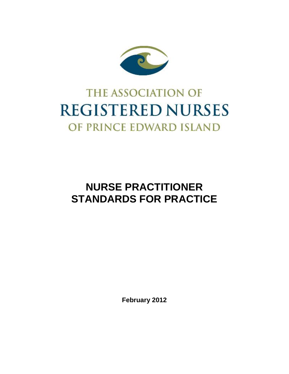

# **THE ASSOCIATION OF REGISTERED NURSES** OF PRINCE EDWARD ISLAND

## **NURSE PRACTITIONER STANDARDS FOR PRACTICE**

**February 2012**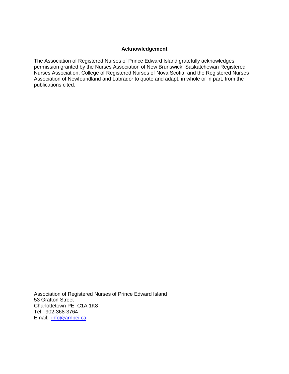#### **Acknowledgement**

The Association of Registered Nurses of Prince Edward Island gratefully acknowledges permission granted by the Nurses Association of New Brunswick, Saskatchewan Registered Nurses Association, College of Registered Nurses of Nova Scotia, and the Registered Nurses Association of Newfoundland and Labrador to quote and adapt, in whole or in part, from the publications cited.

Association of Registered Nurses of Prince Edward Island 53 Grafton Street Charlottetown PE C1A 1K8 Tel: 902-368-3764 Email: [info@arnpei.ca](mailto:info@arnpei.ca)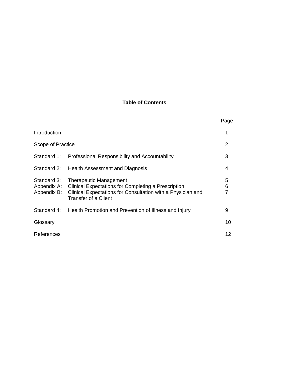### **Table of Contents**

|                                           |                                                                                                                                                                                    | Page   |
|-------------------------------------------|------------------------------------------------------------------------------------------------------------------------------------------------------------------------------------|--------|
| Introduction                              |                                                                                                                                                                                    | 1      |
| Scope of Practice                         |                                                                                                                                                                                    | 2      |
| Standard 1:                               | Professional Responsibility and Accountability                                                                                                                                     | 3      |
| Standard 2:                               | Health Assessment and Diagnosis                                                                                                                                                    | 4      |
| Standard 3:<br>Appendix A:<br>Appendix B: | <b>Therapeutic Management</b><br><b>Clinical Expectations for Completing a Prescription</b><br>Clinical Expectations for Consultation with a Physician and<br>Transfer of a Client | 5<br>6 |
| Standard 4:                               | Health Promotion and Prevention of Illness and Injury                                                                                                                              | 9      |
| Glossary                                  |                                                                                                                                                                                    | 10     |
| References                                |                                                                                                                                                                                    | 12     |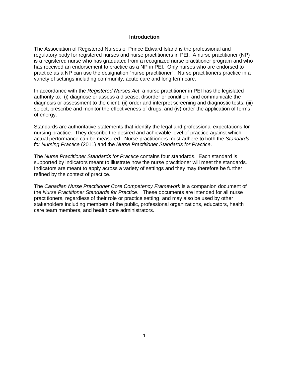#### **Introduction**

The Association of Registered Nurses of Prince Edward Island is the professional and regulatory body for registered nurses and nurse practitioners in PEI. A nurse practitioner (NP) is a registered nurse who has graduated from a recognized nurse practitioner program and who has received an endorsement to practice as a NP in PEI. Only nurses who are endorsed to practice as a NP can use the designation "nurse practitioner". Nurse practitioners practice in a variety of settings including community, acute care and long term care.

In accordance with the *Registered Nurses Act*, a nurse practitioner in PEI has the legislated authority to: (i) diagnose or assess a disease, disorder or condition, and communicate the diagnosis or assessment to the client; (ii) order and interpret screening and diagnostic tests; (iii) select, prescribe and monitor the effectiveness of drugs; and (iv) order the application of forms of energy.

Standards are authoritative statements that identify the legal and professional expectations for nursing practice. They describe the desired and achievable level of practice against which actual performance can be measured. Nurse practitioners must adhere to both the *Standards for Nursing Practice* (2011) and the *Nurse Practitioner Standards for Practice*.

The *Nurse Practitioner Standards for Practice* contains four standards. Each standard is supported by indicators meant to illustrate how the nurse practitioner will meet the standards. Indicators are meant to apply across a variety of settings and they may therefore be further refined by the context of practice.

The *Canadian Nurse Practitioner Core Competency Framework* is a companion document of the *Nurse Practitioner Standards for Practice*. These documents are intended for all nurse practitioners, regardless of their role or practice setting, and may also be used by other stakeholders including members of the public, professional organizations, educators, health care team members, and health care administrators.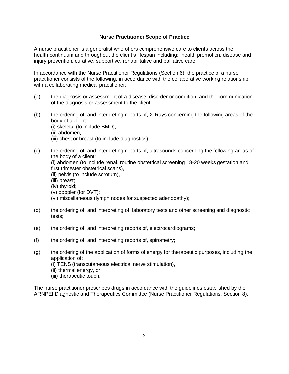#### **Nurse Practitioner Scope of Practice**

A nurse practitioner is a generalist who offers comprehensive care to clients across the health continuum and throughout the client's lifespan including: health promotion, disease and injury prevention, curative, supportive, rehabilitative and palliative care.

In accordance with the Nurse Practitioner Regulations (Section 6), the practice of a nurse practitioner consists of the following, in accordance with the collaborative working relationship with a collaborating medical practitioner:

- (a) the diagnosis or assessment of a disease, disorder or condition, and the communication of the diagnosis or assessment to the client;
- (b) the ordering of, and interpreting reports of, X-Rays concerning the following areas of the body of a client:
	- (i) skeletal (to include BMD),
	- (ii) abdomen,
	- (iii) chest or breast (to include diagnostics);
- (c) the ordering of, and interpreting reports of, ultrasounds concerning the following areas of the body of a client:

(i) abdomen (to include renal, routine obstetrical screening 18-20 weeks gestation and first trimester obstetrical scans),

- (ii) pelvis (to include scrotum),
- (iii) breast;
- (iv) thyroid;
- (v) doppler (for DVT);

(vi) miscellaneous (lymph nodes for suspected adenopathy);

- (d) the ordering of, and interpreting of, laboratory tests and other screening and diagnostic tests;
- (e) the ordering of, and interpreting reports of, electrocardiograms;
- (f) the ordering of, and interpreting reports of, spirometry;
- (g) the ordering of the application of forms of energy for therapeutic purposes, including the application of:

(i) TENS (transcutaneous electrical nerve stimulation),

- (ii) thermal energy, or
- (iii) therapeutic touch.

The nurse practitioner prescribes drugs in accordance with the guidelines established by the ARNPEI Diagnostic and Therapeutics Committee (Nurse Practitioner Regulations, Section 8).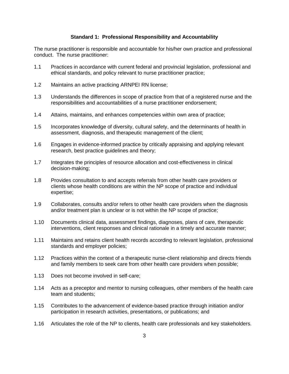#### **Standard 1: Professional Responsibility and Accountability**

The nurse practitioner is responsible and accountable for his/her own practice and professional conduct. The nurse practitioner:

- 1.1 Practices in accordance with current federal and provincial legislation, professional and ethical standards, and policy relevant to nurse practitioner practice;
- 1.2 Maintains an active practicing ARNPEI RN license;
- 1.3 Understands the differences in scope of practice from that of a registered nurse and the responsibilities and accountabilities of a nurse practitioner endorsement;
- 1.4 Attains, maintains, and enhances competencies within own area of practice;
- 1.5 Incorporates knowledge of diversity, cultural safety, and the determinants of health in assessment, diagnosis, and therapeutic management of the client;
- 1.6 Engages in evidence-informed practice by critically appraising and applying relevant research, best practice guidelines and theory;
- 1.7 Integrates the principles of resource allocation and cost-effectiveness in clinical decision-making;
- 1.8 Provides consultation to and accepts referrals from other health care providers or clients whose health conditions are within the NP scope of practice and individual expertise;
- 1.9 Collaborates, consults and/or refers to other health care providers when the diagnosis and/or treatment plan is unclear or is not within the NP scope of practice;
- 1.10 Documents clinical data, assessment findings, diagnoses, plans of care, therapeutic interventions, client responses and clinical rationale in a timely and accurate manner;
- 1.11 Maintains and retains client health records according to relevant legislation, professional standards and employer policies;
- 1.12 Practices within the context of a therapeutic nurse-client relationship and directs friends and family members to seek care from other health care providers when possible;
- 1.13 Does not become involved in self-care;
- 1.14 Acts as a preceptor and mentor to nursing colleagues, other members of the health care team and students;
- 1.15 Contributes to the advancement of evidence-based practice through initiation and/or participation in research activities, presentations, or publications; and
- 1.16 Articulates the role of the NP to clients, health care professionals and key stakeholders.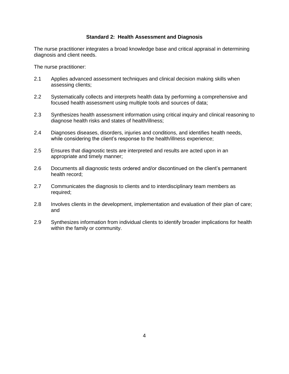#### **Standard 2: Health Assessment and Diagnosis**

The nurse practitioner integrates a broad knowledge base and critical appraisal in determining diagnosis and client needs.

The nurse practitioner:

- 2.1 Applies advanced assessment techniques and clinical decision making skills when assessing clients;
- 2.2 Systematically collects and interprets health data by performing a comprehensive and focused health assessment using multiple tools and sources of data;
- 2.3 Synthesizes health assessment information using critical inquiry and clinical reasoning to diagnose health risks and states of health/illness;
- 2.4 Diagnoses diseases, disorders, injuries and conditions, and identifies health needs, while considering the client's response to the health/illness experience;
- 2.5 Ensures that diagnostic tests are interpreted and results are acted upon in an appropriate and timely manner;
- 2.6 Documents all diagnostic tests ordered and/or discontinued on the client's permanent health record;
- 2.7 Communicates the diagnosis to clients and to interdisciplinary team members as required;
- 2.8 Involves clients in the development, implementation and evaluation of their plan of care; and
- 2.9 Synthesizes information from individual clients to identify broader implications for health within the family or community.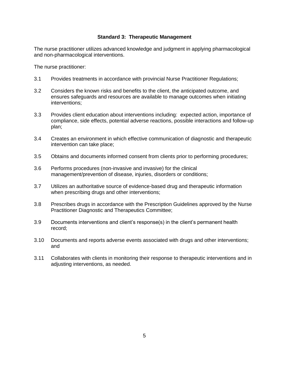#### **Standard 3: Therapeutic Management**

The nurse practitioner utilizes advanced knowledge and judgment in applying pharmacological and non-pharmacological interventions.

The nurse practitioner:

- 3.1 Provides treatments in accordance with provincial Nurse Practitioner Regulations;
- 3.2 Considers the known risks and benefits to the client, the anticipated outcome, and ensures safeguards and resources are available to manage outcomes when initiating interventions;
- 3.3 Provides client education about interventions including: expected action, importance of compliance, side effects, potential adverse reactions, possible interactions and follow-up plan;
- 3.4 Creates an environment in which effective communication of diagnostic and therapeutic intervention can take place;
- 3.5 Obtains and documents informed consent from clients prior to performing procedures;
- 3.6 Performs procedures (non-invasive and invasive) for the clinical management/prevention of disease, injuries, disorders or conditions;
- 3.7 Utilizes an authoritative source of evidence-based drug and therapeutic information when prescribing drugs and other interventions;
- 3.8 Prescribes drugs in accordance with the Prescription Guidelines approved by the Nurse Practitioner Diagnostic and Therapeutics Committee;
- 3.9 Documents interventions and client's response(s) in the client's permanent health record;
- 3.10 Documents and reports adverse events associated with drugs and other interventions; and
- 3.11 Collaborates with clients in monitoring their response to therapeutic interventions and in adjusting interventions, as needed.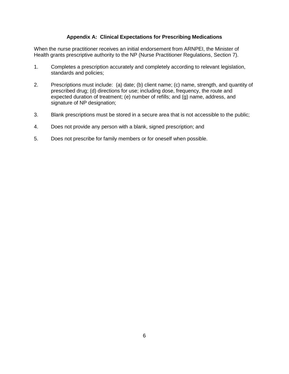#### **Appendix A: Clinical Expectations for Prescribing Medications**

When the nurse practitioner receives an initial endorsement from ARNPEI, the Minister of Health grants prescriptive authority to the NP (Nurse Practitioner Regulations, Section 7).

- 1. Completes a prescription accurately and completely according to relevant legislation, standards and policies;
- 2. Prescriptions must include: (a) date; (b) client name; (c) name, strength, and quantity of prescribed drug; (d) directions for use; including dose, frequency, the route and expected duration of treatment; (e) number of refills; and (g) name, address, and signature of NP designation;
- 3. Blank prescriptions must be stored in a secure area that is not accessible to the public;
- 4. Does not provide any person with a blank, signed prescription; and
- 5. Does not prescribe for family members or for oneself when possible.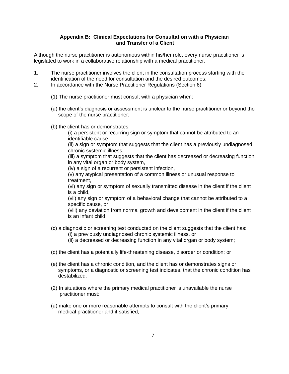#### **Appendix B: Clinical Expectations for Consultation with a Physician and Transfer of a Client**

Although the nurse practitioner is autonomous within his/her role, every nurse practitioner is legislated to work in a collaborative relationship with a medical practitioner.

- 1. The nurse practitioner involves the client in the consultation process starting with the identification of the need for consultation and the desired outcomes;
- 2. In accordance with the Nurse Practitioner Regulations (Section 6):
	- (1) The nurse practitioner must consult with a physician when:
	- (a) the client's diagnosis or assessment is unclear to the nurse practitioner or beyond the scope of the nurse practitioner;
	- (b) the client has or demonstrates:

(i) a persistent or recurring sign or symptom that cannot be attributed to an identifiable cause,

(ii) a sign or symptom that suggests that the client has a previously undiagnosed chronic systemic illness,

(iii) a symptom that suggests that the client has decreased or decreasing function in any vital organ or body system,

(iv) a sign of a recurrent or persistent infection,

(v) any atypical presentation of a common illness or unusual response to treatment,

(vi) any sign or symptom of sexually transmitted disease in the client if the client is a child,

(vii) any sign or symptom of a behavioral change that cannot be attributed to a specific cause, or

(viii) any deviation from normal growth and development in the client if the client is an infant child;

- (c) a diagnostic or screening test conducted on the client suggests that the client has:
	- (i) a previously undiagnosed chronic systemic illness, or
	- (ii) a decreased or decreasing function in any vital organ or body system;
- (d) the client has a potentially life-threatening disease, disorder or condition; or
- (e) the client has a chronic condition, and the client has or demonstrates signs or symptoms, or a diagnostic or screening test indicates, that the chronic condition has destabilized.
- (2) In situations where the primary medical practitioner is unavailable the nurse practitioner must:
- (a) make one or more reasonable attempts to consult with the client's primary medical practitioner and if satisfied,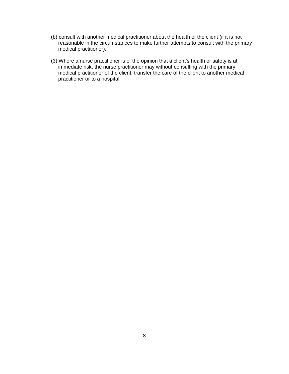- (b) consult with another medical practitioner about the health of the client (if it is not reasonable in the circumstances to make further attempts to consult with the primary medical practitioner).
- (3) Where a nurse practitioner is of the opinion that a client's health or safety is at immediate risk, the nurse practitioner may without consulting with the primary medical practitioner of the client, transfer the care of the client to another medical practitioner or to a hospital.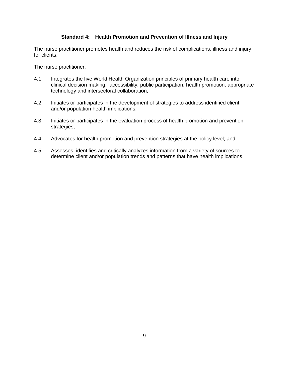#### **Standard 4: Health Promotion and Prevention of Illness and Injury**

The nurse practitioner promotes health and reduces the risk of complications, illness and injury for clients.

The nurse practitioner:

- 4.1 Integrates the five World Health Organization principles of primary health care into clinical decision making: accessibility, public participation, health promotion, appropriate technology and intersectoral collaboration;
- 4.2 Initiates or participates in the development of strategies to address identified client and/or population health implications;
- 4.3 Initiates or participates in the evaluation process of health promotion and prevention strategies;
- 4.4 Advocates for health promotion and prevention strategies at the policy level; and
- 4.5 Assesses, identifies and critically analyzes information from a variety of sources to determine client and/or population trends and patterns that have health implications.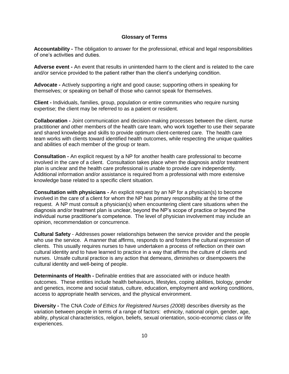#### **Glossary of Terms**

**Accountability -** The obligation to answer for the professional, ethical and legal responsibilities of one's activities and duties.

**Adverse event -** An event that results in unintended harm to the client and is related to the care and/or service provided to the patient rather than the client's underlying condition.

**Advocate -** Actively supporting a right and good cause; supporting others in speaking for themselves; or speaking on behalf of those who cannot speak for themselves.

**Client -** Individuals, families, group, population or entire communities who require nursing expertise; the client may be referred to as a patient or resident.

**Collaboration -** Joint communication and decision-making processes between the client, nurse practitioner and other members of the health care team, who work together to use their separate and shared knowledge and skills to provide optimum client-centered care. The health care team works with clients toward identified health outcomes, while respecting the unique qualities and abilities of each member of the group or team.

**Consultation -** An explicit request by a NP for another health care professional to become involved in the care of a client. Consultation takes place when the diagnosis and/or treatment plan is unclear and the health care professional is unable to provide care independently. Additional information and/or assistance is required from a professional with more extensive knowledge base related to a specific client situation.

**Consultation with physicians -** An explicit request by an NP for a physician(s) to become involved in the care of a client for whom the NP has primary responsibility at the time of the request. A NP must consult a physician(s) when encountering client care situations when the diagnosis and/or treatment plan is unclear, beyond the NP's scope of practice or beyond the individual nurse practitioner's competence. The level of physician involvement may include an opinion, recommendation or concurrence.

**Cultural Safety** - Addresses power relationships between the service provider and the people who use the service. A manner that affirms, responds to and fosters the cultural expression of clients. This usually requires nurses to have undertaken a process of reflection on their own cultural identity and to have learned to practice in a way that affirms the culture of clients and nurses. Unsafe cultural practice is any action that demeans, diminishes or disempowers the cultural identity and well-being of people.

**Determinants of Health -** Definable entities that are associated with or induce health outcomes. These entities include health behaviours, lifestyles, coping abilities, biology, gender and genetics, income and social status, culture, education, employment and working conditions, access to appropriate health services, and the physical environment.

**Diversity -** The CNA *Code of Ethics for Registered Nurses (2008)* describes diversity as the variation between people in terms of a range of factors: ethnicity, national origin, gender, age, ability, physical characteristics, religion, beliefs, sexual orientation, socio-economic class or life experiences.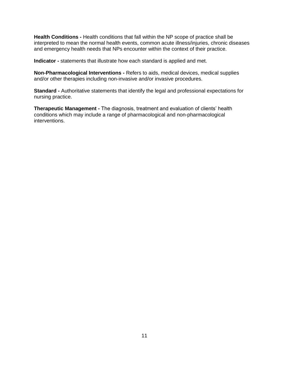**Health Conditions -** Health conditions that fall within the NP scope of practice shall be interpreted to mean the normal health events, common acute illness/injuries, chronic diseases and emergency health needs that NPs encounter within the context of their practice.

**Indicator -** statements that illustrate how each standard is applied and met.

**Non-Pharmacological Interventions -** Refers to aids, medical devices, medical supplies and/or other therapies including non-invasive and/or invasive procedures.

**Standard -** Authoritative statements that identify the legal and professional expectations for nursing practice.

**Therapeutic Management -** The diagnosis, treatment and evaluation of clients' health conditions which may include a range of pharmacological and non-pharmacological interventions.